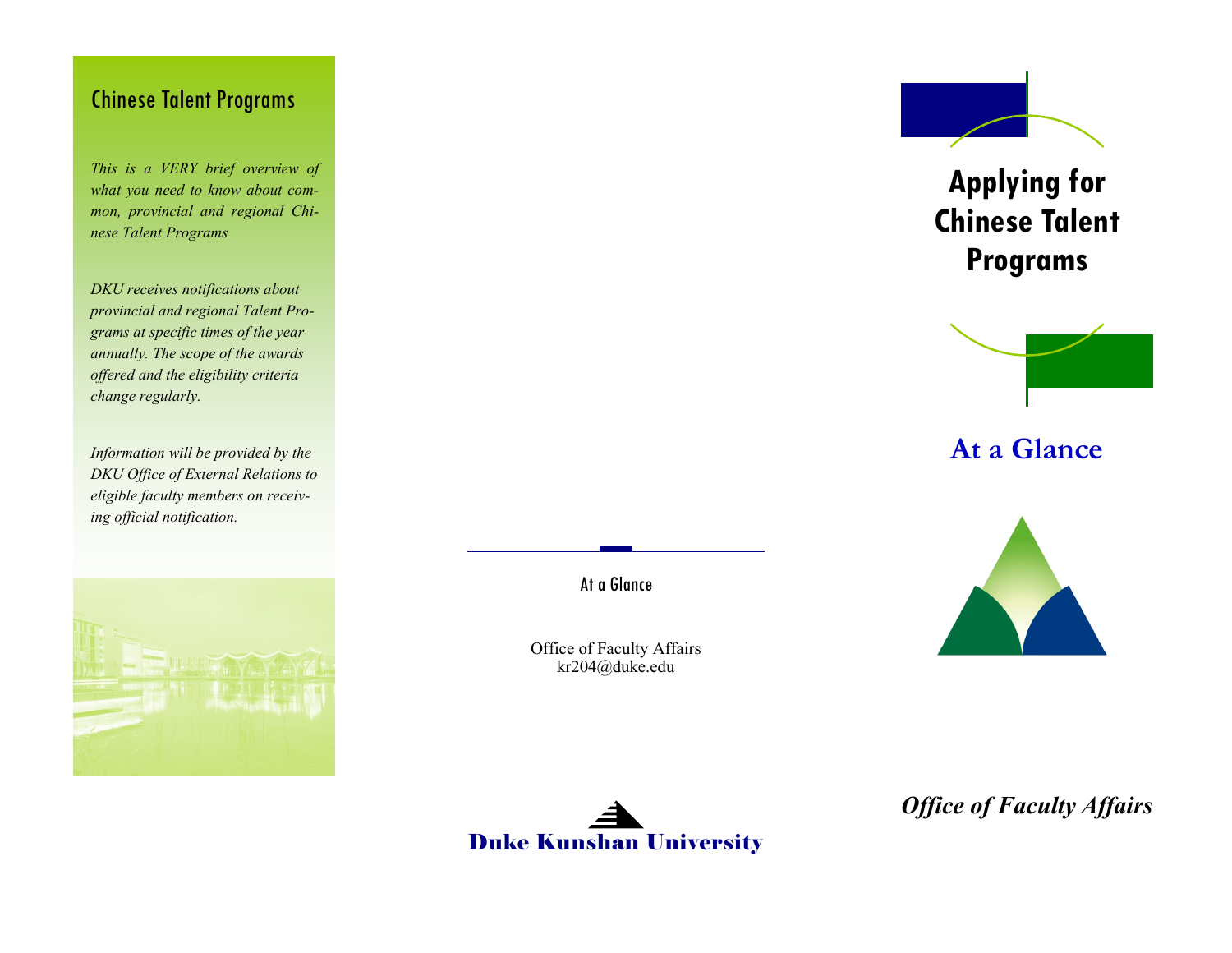### Chinese Talent Programs

*This is a VERY brief overview of what you need to know about common, provincial and regional Chinese Talent Programs*

*DKU receives notifications about provincial and regional Talent Programs at specific times of the year annually. The scope of the awards offered and the eligibility criteria change regularly.* 

*Information will be provided by the DKU Office of External Relations to eligible faculty members on receiving official notification.* 





Office of Faculty Affairs kr204@duke.edu



**Applying for Chinese Talent Programs**



**At a Glance**



*Office of Faculty Affairs*